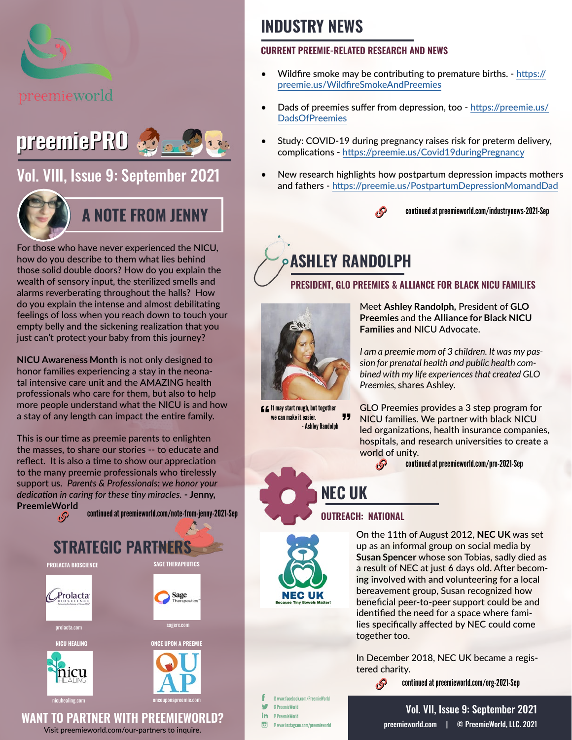



### [Vol. VIII, Issue 9: September 2021](https://preemieworld.com/preemie-pro-digital-issues/)



### **A NOTE FROM JENNY**

For those who have never experienced the NICU, how do you describe to them what lies behind those solid double doors? How do you explain the wealth of sensory input, the sterilized smells and alarms reverberating throughout the halls? How do you explain the intense and almost debilitating feelings of loss when you reach down to touch your empty belly and the sickening realization that you just can't protect your baby from this journey?

**NICU Awareness Month** is not only designed to honor families experiencing a stay in the neonatal intensive care unit and the AMAZING health professionals who care for them, but also to help more people understand what the NICU is and how a stay of any length can impact the entire family.

This is our time as preemie parents to enlighten the masses, to share our stories -- to educate and reflect. It is also a time to show our appreciation to the many preemie professionals who tirelessly support us. *Parents & Professionals: we honor your dedication in caring for these tiny miracles.* **- Jenny, PreemieWorld**



### **INDUSTRY NEWS**

#### **CURRENT PREEMIE-RELATED RESEARCH AND NEWS**

- Wildfire smoke may be contributing to premature births. [https://](https://preemie.us/WildfireSmokeAndPreemies ) [preemie.us/WildfireSmokeAndPreemies](https://preemie.us/WildfireSmokeAndPreemies )
- Dads of preemies suffer from depression, too [https://preemie.us/](https://preemie.us/DadsOfPreemies ) **[DadsOfPreemies](https://preemie.us/DadsOfPreemies )**
- Study: COVID-19 during pr[e](https://preemie.us/RiskPredictionModel )gnancy raises risk for preterm delivery, complications - <https://preemie.us/Covid19duringPregnancy>
- New research highlights how postpartum depression impacts mothers and fathers - <https://preemie.us/PostpartumDepressionMomandDad>



continued at [preemieworld.com/industrynews-2021-](http://preemieworld.com/industrynews-2021-Sep)Sep

# **ASHLEY RANDOLPH**

#### **PRESIDENT, GLO PREEMIES & ALLIANCE FOR BLACK NICU FAMILIES**



**CC** It may start rough, but together we can make it easier. " - Ashley Randolph

Meet **Ashley Randolph,** President of **GLO Preemies** and the **Alliance for Black NICU Families** and NICU Advocate.

*I am a preemie mom of 3 children. It was my passion for prenatal health and public health combined with my life experiences that created GLO Preemies,* shares Ashley.

GLO Preemies provides a 3 step program for NICU families. We partner with black NICU led organizations, health insurance companies, hospitals, and research universities to create a world of unity.

continued at [preemieworld.com/pro-2021-](http://preemieworld.com/pro-2021-Sep)Sep  $\mathcal{S}$ 

### **NEC UK**

#### **OUTREACH: NATIONAL**

B



On the 11th of August 2012, **NEC UK** was set up as an informal group on social media by **Susan Spencer** whose son Tobias, sadly died as a result of NEC at just 6 days old. After becoming involved with and volunteering for a local bereavement group, Susan recognized how beneficial peer-to-peer support could be and identified the need for a space where families specifically affected by NEC could come together too.

In December 2018, NEC UK became a registered charity.

continued at [preemieworld.com/org-2021-S](http://preemieworld.com/org-2021-Sep)ep

@ www.facebook.com/PreemieWorld @ PreemieWorld in. @ PreemieWorld  $\overline{G}$ @ www.instagram.com/preemieworld

[preemieworld.com](https://preemieworld.com) | © PreemieWorld, LLC. 2021 Vol. VII, Issue 9: September 2021